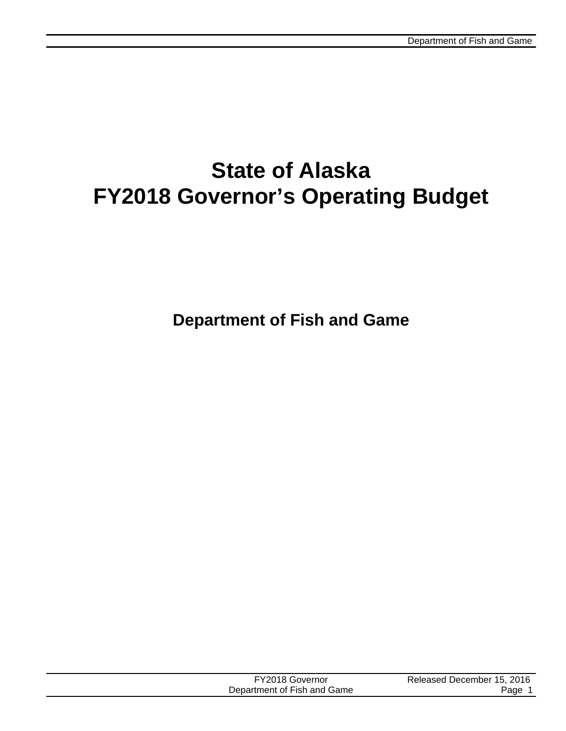# **State of Alaska FY2018 Governor's Operating Budget**

| FY2018 Governor             | Released December 15, 2016 |
|-----------------------------|----------------------------|
| Department of Fish and Game | Page                       |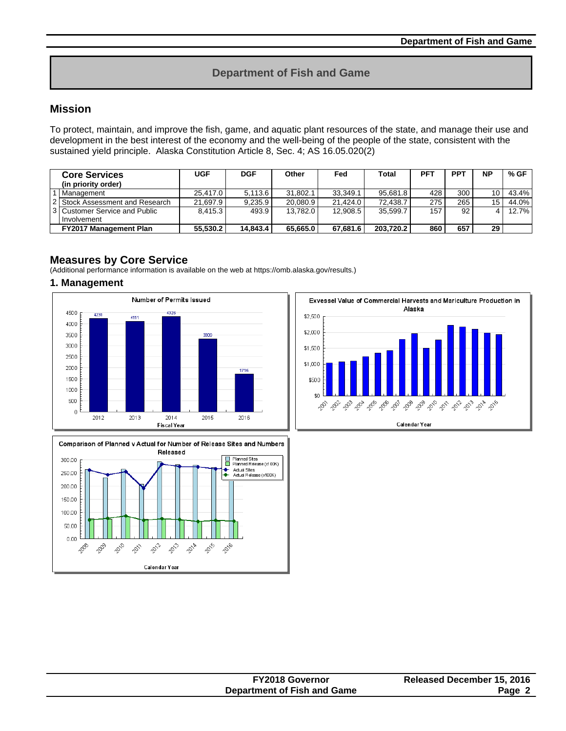# **Department of Fish and Game**

# **Mission**

To protect, maintain, and improve the fish, game, and aquatic plant resources of the state, and manage their use and development in the best interest of the economy and the well-being of the people of the state, consistent with the sustained yield principle. Alaska Constitution Article 8, Sec. 4; AS 16.05.020(2)

| <b>Core Services</b>            | <b>UGF</b> | <b>DGF</b> | Other    | Fed      | Total     | <b>PFT</b> | <b>PPT</b> | <b>NP</b> | % GF  |
|---------------------------------|------------|------------|----------|----------|-----------|------------|------------|-----------|-------|
| (in priority order)             |            |            |          |          |           |            |            |           |       |
| Management                      | 25.417.0   | 5.113.6    | 31.802.1 | 33.349.1 | 95.681.8  | 428        | 300        | 10        | 43.4% |
| 2 Stock Assessment and Research | 21.697.9   | 9.235.9    | 20.080.9 | 21.424.0 | 72.438.7  | 275        | 265        | 15        | 44.0% |
| 13 Customer Service and Public  | 8.415.3    | 493.9      | 13.782.0 | 12.908.5 | 35.599.7  | 157        | 92         |           | 12.7% |
| Involvement                     |            |            |          |          |           |            |            |           |       |
| <b>FY2017 Management Plan</b>   | 55.530.2   | 14.843.4   | 65.665.0 | 67.681.6 | 203.720.2 | 860        | 657        | 29        |       |

## **Measures by Core Service**

(Additional performance information is available on the web at https://omb.alaska.gov/results.)

#### **1. Management**







| <b>FY2018 Governor</b>      |                            |
|-----------------------------|----------------------------|
|                             | Released December 15, 2016 |
| Department of Fish and Game | Page 2                     |
|                             |                            |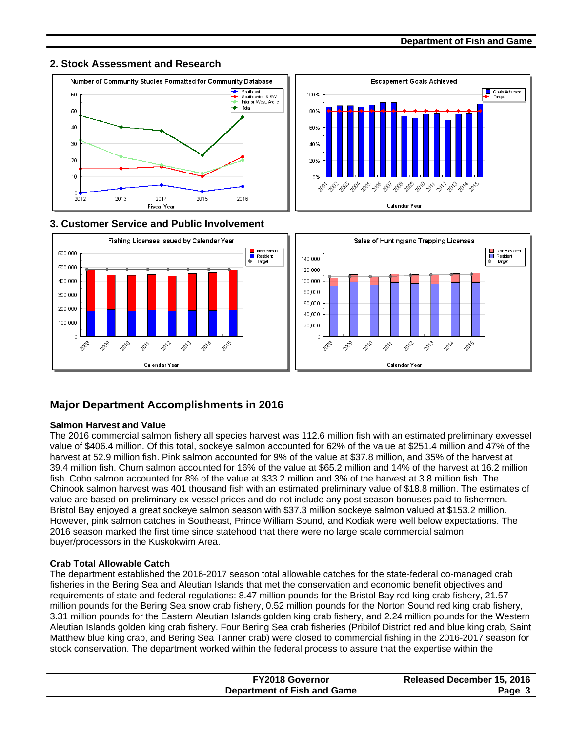# **2. Stock Assessment and Research**





## **3. Customer Service and Public Involvement**



# **Major Department Accomplishments in 2016**

## **Salmon Harvest and Value**

The 2016 commercial salmon fishery all species harvest was 112.6 million fish with an estimated preliminary exvessel value of \$406.4 million. Of this total, sockeye salmon accounted for 62% of the value at \$251.4 million and 47% of the harvest at 52.9 million fish. Pink salmon accounted for 9% of the value at \$37.8 million, and 35% of the harvest at 39.4 million fish. Chum salmon accounted for 16% of the value at \$65.2 million and 14% of the harvest at 16.2 million fish. Coho salmon accounted for 8% of the value at \$33.2 million and 3% of the harvest at 3.8 million fish. The Chinook salmon harvest was 401 thousand fish with an estimated preliminary value of \$18.8 million. The estimates of value are based on preliminary ex-vessel prices and do not include any post season bonuses paid to fishermen. Bristol Bay enjoyed a great sockeye salmon season with \$37.3 million sockeye salmon valued at \$153.2 million. However, pink salmon catches in Southeast, Prince William Sound, and Kodiak were well below expectations. The 2016 season marked the first time since statehood that there were no large scale commercial salmon buyer/processors in the Kuskokwim Area.

## **Crab Total Allowable Catch**

The department established the 2016-2017 season total allowable catches for the state-federal co-managed crab fisheries in the Bering Sea and Aleutian Islands that met the conservation and economic benefit objectives and requirements of state and federal regulations: 8.47 million pounds for the Bristol Bay red king crab fishery, 21.57 million pounds for the Bering Sea snow crab fishery, 0.52 million pounds for the Norton Sound red king crab fishery, 3.31 million pounds for the Eastern Aleutian Islands golden king crab fishery, and 2.24 million pounds for the Western Aleutian Islands golden king crab fishery. Four Bering Sea crab fisheries (Pribilof District red and blue king crab, Saint Matthew blue king crab, and Bering Sea Tanner crab) were closed to commercial fishing in the 2016-2017 season for stock conservation. The department worked within the federal process to assure that the expertise within the

| <b>FY2018 Governor</b>             | <b>Released December 15, 2016</b> |
|------------------------------------|-----------------------------------|
| <b>Department of Fish and Game</b> | Page 3                            |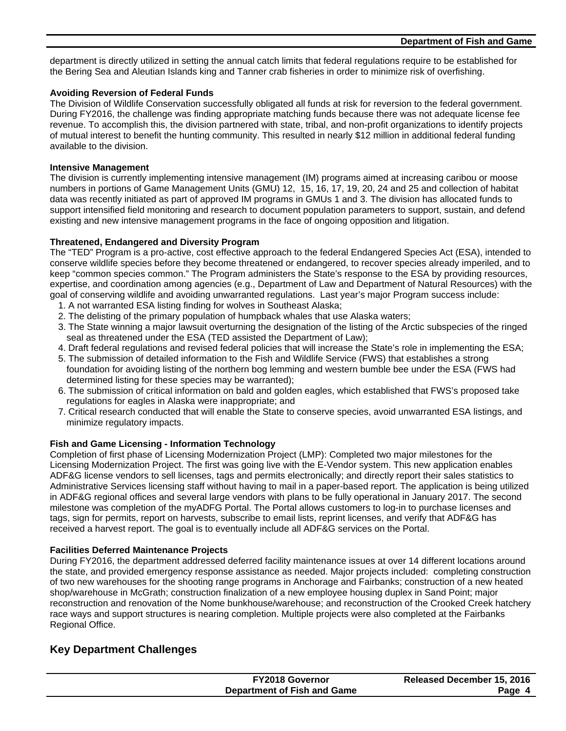department is directly utilized in setting the annual catch limits that federal regulations require to be established for the Bering Sea and Aleutian Islands king and Tanner crab fisheries in order to minimize risk of overfishing.

#### **Avoiding Reversion of Federal Funds**

The Division of Wildlife Conservation successfully obligated all funds at risk for reversion to the federal government. During FY2016, the challenge was finding appropriate matching funds because there was not adequate license fee revenue. To accomplish this, the division partnered with state, tribal, and non-profit organizations to identify projects of mutual interest to benefit the hunting community. This resulted in nearly \$12 million in additional federal funding available to the division.

#### **Intensive Management**

The division is currently implementing intensive management (IM) programs aimed at increasing caribou or moose numbers in portions of Game Management Units (GMU) 12, 15, 16, 17, 19, 20, 24 and 25 and collection of habitat data was recently initiated as part of approved IM programs in GMUs 1 and 3. The division has allocated funds to support intensified field monitoring and research to document population parameters to support, sustain, and defend existing and new intensive management programs in the face of ongoing opposition and litigation.

### **Threatened, Endangered and Diversity Program**

The "TED" Program is a pro-active, cost effective approach to the federal Endangered Species Act (ESA), intended to conserve wildlife species before they become threatened or endangered, to recover species already imperiled, and to keep "common species common." The Program administers the State's response to the ESA by providing resources, expertise, and coordination among agencies (e.g., Department of Law and Department of Natural Resources) with the goal of conserving wildlife and avoiding unwarranted regulations. Last year's major Program success include:

- 1. A not warranted ESA listing finding for wolves in Southeast Alaska;
- 2. The delisting of the primary population of humpback whales that use Alaska waters;
- 3. The State winning a major lawsuit overturning the designation of the listing of the Arctic subspecies of the ringed seal as threatened under the ESA (TED assisted the Department of Law);
- 4. Draft federal regulations and revised federal policies that will increase the State's role in implementing the ESA;
- 5. The submission of detailed information to the Fish and Wildlife Service (FWS) that establishes a strong foundation for avoiding listing of the northern bog lemming and western bumble bee under the ESA (FWS had determined listing for these species may be warranted);
- 6. The submission of critical information on bald and golden eagles, which established that FWS's proposed take regulations for eagles in Alaska were inappropriate; and
- 7. Critical research conducted that will enable the State to conserve species, avoid unwarranted ESA listings, and minimize regulatory impacts.

## **Fish and Game Licensing - Information Technology**

Completion of first phase of Licensing Modernization Project (LMP): Completed two major milestones for the Licensing Modernization Project. The first was going live with the E-Vendor system. This new application enables ADF&G license vendors to sell licenses, tags and permits electronically; and directly report their sales statistics to Administrative Services licensing staff without having to mail in a paper-based report. The application is being utilized in ADF&G regional offices and several large vendors with plans to be fully operational in January 2017. The second milestone was completion of the myADFG Portal. The Portal allows customers to log-in to purchase licenses and tags, sign for permits, report on harvests, subscribe to email lists, reprint licenses, and verify that ADF&G has received a harvest report. The goal is to eventually include all ADF&G services on the Portal.

#### **Facilities Deferred Maintenance Projects**

During FY2016, the department addressed deferred facility maintenance issues at over 14 different locations around the state, and provided emergency response assistance as needed. Major projects included: completing construction of two new warehouses for the shooting range programs in Anchorage and Fairbanks; construction of a new heated shop/warehouse in McGrath; construction finalization of a new employee housing duplex in Sand Point; major reconstruction and renovation of the Nome bunkhouse/warehouse; and reconstruction of the Crooked Creek hatchery race ways and support structures is nearing completion. Multiple projects were also completed at the Fairbanks Regional Office.

# **Key Department Challenges**

| <b>FY2018 Governor</b>      | Released December 15, 2016 |
|-----------------------------|----------------------------|
| Department of Fish and Game | Page 4                     |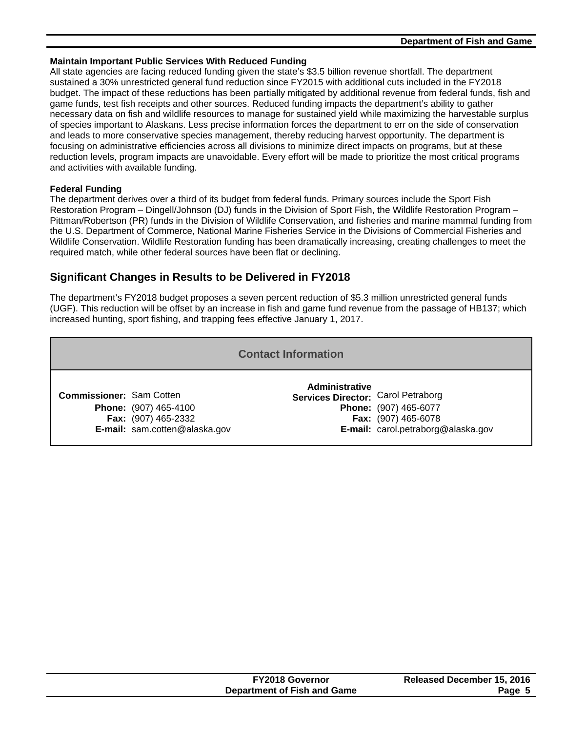#### **Maintain Important Public Services With Reduced Funding**

All state agencies are facing reduced funding given the state's \$3.5 billion revenue shortfall. The department sustained a 30% unrestricted general fund reduction since FY2015 with additional cuts included in the FY2018 budget. The impact of these reductions has been partially mitigated by additional revenue from federal funds, fish and game funds, test fish receipts and other sources. Reduced funding impacts the department's ability to gather necessary data on fish and wildlife resources to manage for sustained yield while maximizing the harvestable surplus of species important to Alaskans. Less precise information forces the department to err on the side of conservation and leads to more conservative species management, thereby reducing harvest opportunity. The department is focusing on administrative efficiencies across all divisions to minimize direct impacts on programs, but at these reduction levels, program impacts are unavoidable. Every effort will be made to prioritize the most critical programs and activities with available funding.

#### **Federal Funding**

The department derives over a third of its budget from federal funds. Primary sources include the Sport Fish Restoration Program – Dingell/Johnson (DJ) funds in the Division of Sport Fish, the Wildlife Restoration Program – Pittman/Robertson (PR) funds in the Division of Wildlife Conservation, and fisheries and marine mammal funding from the U.S. Department of Commerce, National Marine Fisheries Service in the Divisions of Commercial Fisheries and Wildlife Conservation. Wildlife Restoration funding has been dramatically increasing, creating challenges to meet the required match, while other federal sources have been flat or declining.

# **Significant Changes in Results to be Delivered in FY2018**

The department's FY2018 budget proposes a seven percent reduction of \$5.3 million unrestricted general funds (UGF). This reduction will be offset by an increase in fish and game fund revenue from the passage of HB137; which increased hunting, sport fishing, and trapping fees effective January 1, 2017.

| <b>Contact Information</b>      |                                                                                      |                                                             |                                                                                    |  |  |  |  |
|---------------------------------|--------------------------------------------------------------------------------------|-------------------------------------------------------------|------------------------------------------------------------------------------------|--|--|--|--|
| <b>Commissioner: Sam Cotten</b> | <b>Phone:</b> (907) 465-4100<br>Fax: (907) 465-2332<br>E-mail: sam.cotten@alaska.gov | <b>Administrative</b><br>Services Director: Carol Petraborg | Phone: (907) 465-6077<br>Fax: (907) 465-6078<br>E-mail: carol.petraborg@alaska.gov |  |  |  |  |

| <b>FY2018 Governor</b>      | Released December 15, 2016 |
|-----------------------------|----------------------------|
| Department of Fish and Game | Page t                     |
|                             |                            |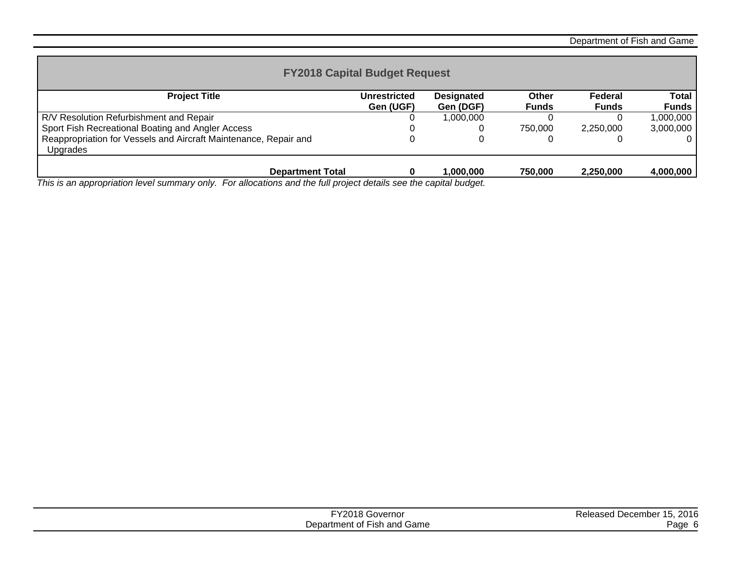Department of Fish and Game

| <b>FY2018 Capital Budget Request</b>                                         |                           |                                |                       |                         |                |  |
|------------------------------------------------------------------------------|---------------------------|--------------------------------|-----------------------|-------------------------|----------------|--|
| <b>Project Title</b>                                                         | Unrestricted<br>Gen (UGF) | <b>Designated</b><br>Gen (DGF) | Other<br><b>Funds</b> | Federal<br><b>Funds</b> | Total<br>Funds |  |
| R/V Resolution Refurbishment and Repair                                      |                           | 1,000,000                      |                       |                         | 1,000,000      |  |
| Sport Fish Recreational Boating and Angler Access                            |                           |                                | 750.000               | 2.250.000               | 3.000.000      |  |
| Reappropriation for Vessels and Aircraft Maintenance, Repair and<br>Upgrades |                           |                                |                       |                         |                |  |
| <b>Department Total</b>                                                      |                           | 1.000.000                      | 750,000               | 2,250,000               | 4,000,000      |  |

*This is an appropriation level summary only. For allocations and the full project details see the capital budget.*

| <b>TY2018 Gov.</b><br>Governor | 2016<br>Released December 15, |
|--------------------------------|-------------------------------|
| Department of Fish and Game    | Page                          |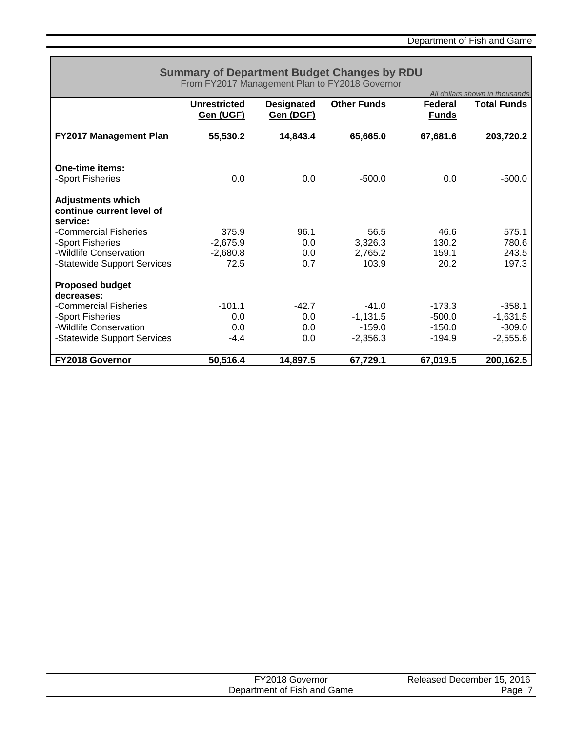|                                                                   | <b>Summary of Department Budget Changes by RDU</b><br>From FY2017 Management Plan to FY2018 Governor |                   |                    |              | All dollars shown in thousands |
|-------------------------------------------------------------------|------------------------------------------------------------------------------------------------------|-------------------|--------------------|--------------|--------------------------------|
|                                                                   | <b>Unrestricted</b>                                                                                  | <b>Designated</b> | <b>Other Funds</b> | Federal      | <b>Total Funds</b>             |
|                                                                   | Gen (UGF)                                                                                            | Gen (DGF)         |                    | <b>Funds</b> |                                |
| <b>FY2017 Management Plan</b>                                     | 55,530.2                                                                                             | 14,843.4          | 65,665.0           | 67,681.6     | 203,720.2                      |
| One-time items:                                                   |                                                                                                      |                   |                    |              |                                |
| -Sport Fisheries                                                  | 0.0                                                                                                  | 0.0               | $-500.0$           | 0.0          | $-500.0$                       |
| <b>Adjustments which</b><br>continue current level of<br>service: |                                                                                                      |                   |                    |              |                                |
| -Commercial Fisheries                                             | 375.9                                                                                                | 96.1              | 56.5               | 46.6         | 575.1                          |
| -Sport Fisheries                                                  | $-2,675.9$                                                                                           | 0.0               | 3,326.3            | 130.2        | 780.6                          |
| -Wildlife Conservation                                            | $-2,680.8$                                                                                           | 0.0               | 2,765.2            | 159.1        | 243.5                          |
| -Statewide Support Services                                       | 72.5                                                                                                 | 0.7               | 103.9              | 20.2         | 197.3                          |
| <b>Proposed budget</b><br>decreases:                              |                                                                                                      |                   |                    |              |                                |
| -Commercial Fisheries                                             | $-101.1$                                                                                             | $-42.7$           | $-41.0$            | $-173.3$     | $-358.1$                       |
| -Sport Fisheries                                                  | 0.0                                                                                                  | 0.0               | $-1,131.5$         | $-500.0$     | $-1,631.5$                     |
| -Wildlife Conservation                                            | 0.0                                                                                                  | 0.0               | $-159.0$           | $-150.0$     | $-309.0$                       |
| -Statewide Support Services                                       | $-4.4$                                                                                               | 0.0               | $-2,356.3$         | $-194.9$     | $-2,555.6$                     |
| <b>FY2018 Governor</b>                                            | 50,516.4                                                                                             | 14,897.5          | 67,729.1           | 67,019.5     | 200,162.5                      |

| FY2018 Governor             | Released December 15, 2016 |
|-----------------------------|----------------------------|
| Department of Fish and Game | Page                       |
|                             |                            |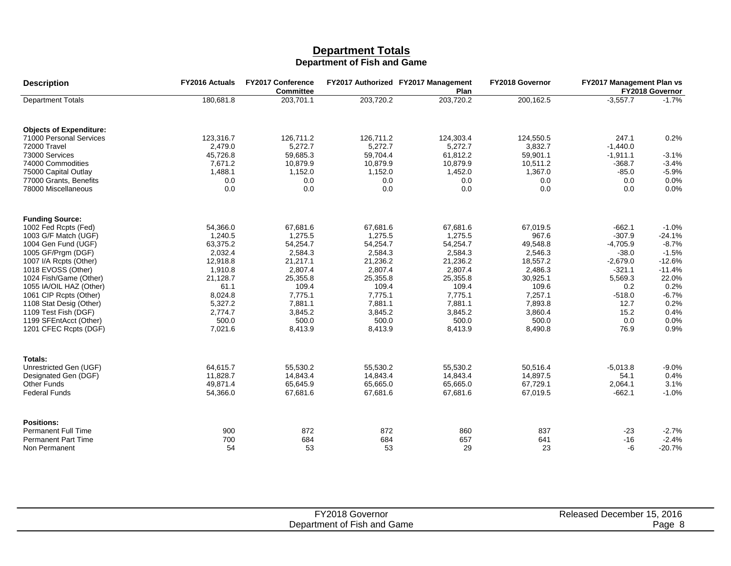#### **Department Totals Department of Fish and Game**

| <b>Description</b>                      | <b>FY2016 Actuals</b> | <b>FY2017 Conference</b><br><b>Committee</b> |                      | FY2017 Authorized FY2017 Management<br>Plan | FY2018 Governor      | FY2017 Management Plan vs | FY2018 Governor |
|-----------------------------------------|-----------------------|----------------------------------------------|----------------------|---------------------------------------------|----------------------|---------------------------|-----------------|
| <b>Department Totals</b>                | 180,681.8             | 203,701.1                                    | 203,720.2            | 203,720.2                                   | 200,162.5            | $-3.557.7$                | $-1.7%$         |
| <b>Objects of Expenditure:</b>          |                       |                                              |                      |                                             |                      |                           |                 |
| 71000 Personal Services<br>72000 Travel | 123,316.7<br>2,479.0  | 126,711.2<br>5,272.7                         | 126,711.2<br>5,272.7 | 124,303.4<br>5,272.7                        | 124,550.5<br>3,832.7 | 247.1<br>$-1,440.0$       | 0.2%            |
| 73000 Services                          | 45,726.8              | 59,685.3                                     | 59,704.4             | 61,812.2                                    | 59,901.1             | $-1,911.1$                | $-3.1%$         |
| 74000 Commodities                       | 7,671.2               | 10,879.9                                     | 10,879.9             | 10,879.9                                    | 10,511.2             | $-368.7$                  | $-3.4%$         |
| 75000 Capital Outlay                    | 1,488.1               | 1,152.0                                      | 1,152.0              | 1,452.0                                     | 1,367.0              | $-85.0$                   | $-5.9%$         |
| 77000 Grants, Benefits                  | 0.0                   | 0.0                                          | 0.0                  | 0.0                                         | 0.0                  | 0.0                       | 0.0%            |
| 78000 Miscellaneous                     | 0.0                   | 0.0                                          | 0.0                  | 0.0                                         | 0.0                  | 0.0                       | 0.0%            |
| <b>Funding Source:</b>                  |                       |                                              |                      |                                             |                      |                           |                 |
| 1002 Fed Rcpts (Fed)                    | 54,366.0              | 67,681.6                                     | 67,681.6             | 67,681.6                                    | 67,019.5             | $-662.1$                  | $-1.0%$         |
| 1003 G/F Match (UGF)                    | 1,240.5               | 1,275.5                                      | 1,275.5              | 1,275.5                                     | 967.6                | $-307.9$                  | $-24.1%$        |
| 1004 Gen Fund (UGF)                     | 63,375.2              | 54,254.7                                     | 54,254.7             | 54,254.7                                    | 49,548.8             | $-4,705.9$                | $-8.7%$         |
| 1005 GF/Prgm (DGF)                      | 2,032.4               | 2,584.3                                      | 2,584.3              | 2,584.3                                     | 2,546.3              | $-38.0$                   | $-1.5%$         |
| 1007 I/A Rcpts (Other)                  | 12,918.8              | 21,217.1                                     | 21,236.2             | 21,236.2                                    | 18,557.2             | $-2,679.0$                | $-12.6%$        |
| 1018 EVOSS (Other)                      | 1,910.8               | 2,807.4                                      | 2,807.4              | 2,807.4                                     | 2,486.3              | $-321.1$                  | $-11.4%$        |
| 1024 Fish/Game (Other)                  | 21,128.7              | 25,355.8                                     | 25,355.8             | 25,355.8                                    | 30,925.1             | 5,569.3                   | 22.0%           |
| 1055 IA/OIL HAZ (Other)                 | 61.1                  | 109.4                                        | 109.4                | 109.4                                       | 109.6                | 0.2                       | 0.2%            |
| 1061 CIP Rcpts (Other)                  | 8,024.8               | 7,775.1                                      | 7,775.1              | 7,775.1                                     | 7,257.1              | $-518.0$                  | $-6.7%$         |
| 1108 Stat Desig (Other)                 | 5.327.2               | 7.881.1                                      | 7.881.1              | 7,881.1                                     | 7.893.8              | 12.7                      | 0.2%            |
| 1109 Test Fish (DGF)                    | 2,774.7               | 3,845.2                                      | 3,845.2              | 3,845.2                                     | 3,860.4              | 15.2                      | 0.4%            |
| 1199 SFEntAcct (Other)                  | 500.0                 | 500.0                                        | 500.0                | 500.0                                       | 500.0                | 0.0                       | 0.0%            |
| 1201 CFEC Rcpts (DGF)                   | 7,021.6               | 8,413.9                                      | 8,413.9              | 8,413.9                                     | 8,490.8              | 76.9                      | 0.9%            |
| Totals:                                 |                       |                                              |                      |                                             |                      |                           |                 |
| Unrestricted Gen (UGF)                  | 64,615.7              | 55,530.2                                     | 55,530.2             | 55,530.2                                    | 50,516.4             | $-5,013.8$                | $-9.0%$         |
| Designated Gen (DGF)                    | 11,828.7              | 14,843.4                                     | 14,843.4             | 14,843.4                                    | 14,897.5             | 54.1                      | 0.4%            |
| <b>Other Funds</b>                      | 49,871.4              | 65,645.9                                     | 65,665.0             | 65,665.0                                    | 67,729.1             | 2,064.1                   | 3.1%            |
| <b>Federal Funds</b>                    | 54,366.0              | 67,681.6                                     | 67,681.6             | 67,681.6                                    | 67,019.5             | $-662.1$                  | $-1.0%$         |
| <b>Positions:</b>                       |                       |                                              |                      |                                             |                      |                           |                 |
| <b>Permanent Full Time</b>              | 900                   | 872                                          | 872                  | 860                                         | 837                  | $-23$                     | $-2.7%$         |
| <b>Permanent Part Time</b>              | 700                   | 684                                          | 684                  | 657                                         | 641                  | $-16$                     | $-2.4%$         |
| Non Permanent                           | 54                    | 53                                           | 53                   | 29                                          | 23                   | -6                        | $-20.7%$        |

| FY2018 C<br>Governor             | 2016<br>. December<br>Released |
|----------------------------------|--------------------------------|
| Fish and Game<br>Department of " | Page                           |
|                                  |                                |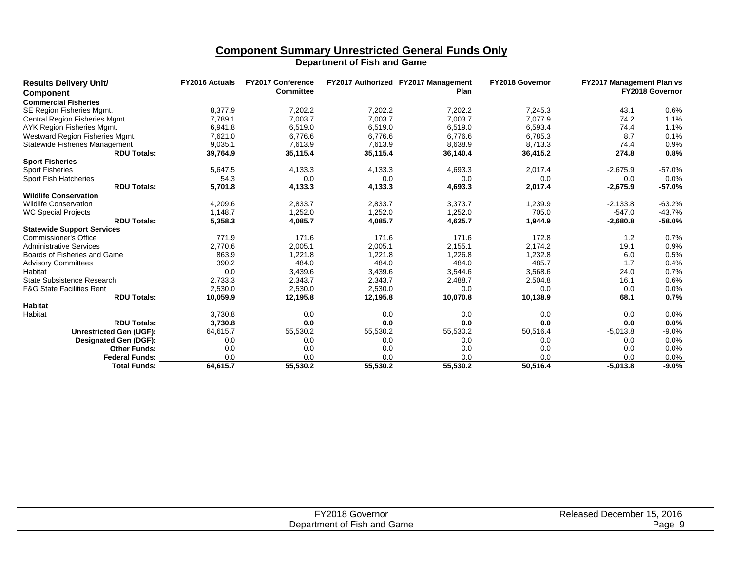# **Component Summary Unrestricted General Funds Only**

| <b>Results Delivery Unit/</b><br><b>Component</b> | <b>FY2016 Actuals</b> | <b>FY2017 Conference</b><br><b>Committee</b> |          | FY2017 Authorized FY2017 Management<br>Plan | FY2018 Governor | <b>FY2017 Management Plan vs</b> | FY2018 Governor |
|---------------------------------------------------|-----------------------|----------------------------------------------|----------|---------------------------------------------|-----------------|----------------------------------|-----------------|
| <b>Commercial Fisheries</b>                       |                       |                                              |          |                                             |                 |                                  |                 |
| <b>SE Region Fisheries Mgmt.</b>                  | 8.377.9               | 7,202.2                                      | 7,202.2  | 7,202.2                                     | 7,245.3         | 43.1                             | 0.6%            |
| Central Region Fisheries Mgmt.                    | 7,789.1               | 7,003.7                                      | 7,003.7  | 7,003.7                                     | 7.077.9         | 74.2                             | 1.1%            |
| AYK Region Fisheries Mgmt.                        | 6,941.8               | 6,519.0                                      | 6,519.0  | 6,519.0                                     | 6,593.4         | 74.4                             | 1.1%            |
| Westward Region Fisheries Mgmt.                   | 7,621.0               | 6.776.6                                      | 6.776.6  | 6.776.6                                     | 6.785.3         | 8.7                              | 0.1%            |
| Statewide Fisheries Management                    | 9,035.1               | 7,613.9                                      | 7,613.9  | 8,638.9                                     | 8.713.3         | 74.4                             | 0.9%            |
| <b>RDU Totals:</b>                                | 39,764.9              | 35,115.4                                     | 35,115.4 | 36,140.4                                    | 36,415.2        | 274.8                            | 0.8%            |
| <b>Sport Fisheries</b>                            |                       |                                              |          |                                             |                 |                                  |                 |
| <b>Sport Fisheries</b>                            | 5,647.5               | 4,133.3                                      | 4,133.3  | 4,693.3                                     | 2,017.4         | $-2,675.9$                       | $-57.0%$        |
| <b>Sport Fish Hatcheries</b>                      | 54.3                  | 0.0                                          | 0.0      | 0.0                                         | 0.0             | 0.0                              | 0.0%            |
| <b>RDU Totals:</b>                                | 5,701.8               | 4,133.3                                      | 4,133.3  | 4,693.3                                     | 2,017.4         | $-2,675.9$                       | $-57.0%$        |
| <b>Wildlife Conservation</b>                      |                       |                                              |          |                                             |                 |                                  |                 |
| <b>Wildlife Conservation</b>                      | 4,209.6               | 2,833.7                                      | 2.833.7  | 3.373.7                                     | 1,239.9         | $-2.133.8$                       | $-63.2%$        |
| <b>WC Special Projects</b>                        | 1,148.7               | 1,252.0                                      | 1,252.0  | 1,252.0                                     | 705.0           | $-547.0$                         | $-43.7%$        |
| <b>RDU Totals:</b>                                | 5,358.3               | 4,085.7                                      | 4,085.7  | 4,625.7                                     | 1,944.9         | $-2,680.8$                       | $-58.0%$        |
| <b>Statewide Support Services</b>                 |                       |                                              |          |                                             |                 |                                  |                 |
| <b>Commissioner's Office</b>                      | 771.9                 | 171.6                                        | 171.6    | 171.6                                       | 172.8           | 1.2                              | 0.7%            |
| <b>Administrative Services</b>                    | 2,770.6               | 2,005.1                                      | 2,005.1  | 2,155.1                                     | 2,174.2         | 19.1                             | 0.9%            |
| Boards of Fisheries and Game                      | 863.9                 | 1,221.8                                      | 1,221.8  | 1,226.8                                     | 1,232.8         | 6.0                              | 0.5%            |
| <b>Advisory Committees</b>                        | 390.2                 | 484.0                                        | 484.0    | 484.0                                       | 485.7           | 1.7                              | 0.4%            |
| Habitat                                           | 0.0                   | 3,439.6                                      | 3,439.6  | 3,544.6                                     | 3,568.6         | 24.0                             | 0.7%            |
| State Subsistence Research                        | 2,733.3               | 2,343.7                                      | 2,343.7  | 2,488.7                                     | 2,504.8         | 16.1                             | 0.6%            |
| <b>F&amp;G State Facilities Rent</b>              | 2,530.0               | 2,530.0                                      | 2,530.0  | 0.0                                         | 0.0             | 0.0                              | 0.0%            |
| <b>RDU Totals:</b>                                | 10,059.9              | 12,195.8                                     | 12,195.8 | 10,070.8                                    | 10,138.9        | 68.1                             | 0.7%            |
| <b>Habitat</b>                                    |                       |                                              |          |                                             |                 |                                  |                 |
| Habitat                                           | 3,730.8               | 0.0                                          | 0.0      | 0.0                                         | 0.0             | 0.0                              | 0.0%            |
| <b>RDU Totals:</b>                                | 3,730.8               | 0.0                                          | 0.0      | 0.0                                         | 0.0             | 0.0                              | 0.0%            |
| Unrestricted Gen (UGF):                           | 64,615.7              | 55,530.2                                     | 55,530.2 | 55,530.2                                    | 50,516.4        | $-5,013.8$                       | $-9.0%$         |
| <b>Designated Gen (DGF):</b>                      | 0.0                   | 0.0                                          | 0.0      | 0.0                                         | 0.0             | 0.0                              | 0.0%            |
| <b>Other Funds:</b>                               | 0.0                   | 0.0                                          | 0.0      | 0.0                                         | 0.0             | 0.0                              | 0.0%            |
| <b>Federal Funds:</b>                             | 0.0                   | 0.0                                          | 0.0      | 0.0                                         | 0.0             | 0.0                              | 0.0%            |
| <b>Total Funds:</b>                               | 64.615.7              | 55,530.2                                     | 55,530.2 | 55,530.2                                    | 50.516.4        | $-5,013.8$                       | $-9.0%$         |

| FY2018 G<br>، Governor      | 15, 2016<br>. December 1<br>Released |
|-----------------------------|--------------------------------------|
| Department of Fish and Game | Page                                 |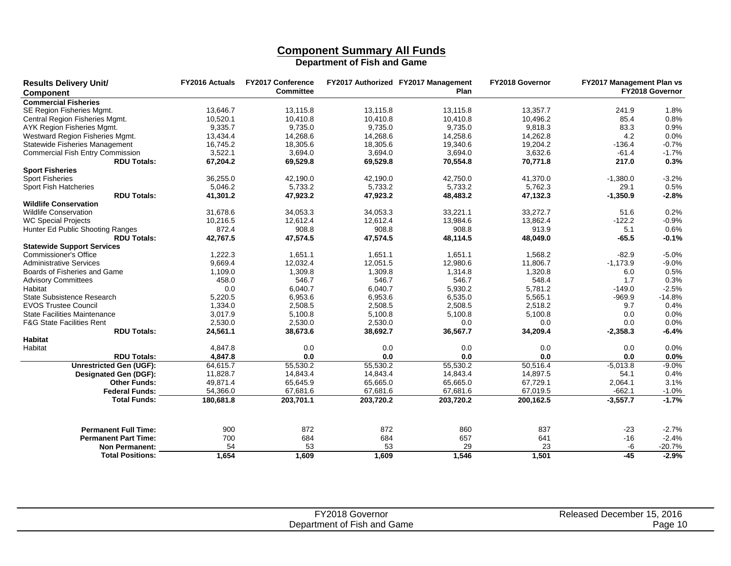# **Component Summary All Funds**

| <b>Results Delivery Unit/</b><br><b>Component</b> | <b>FY2016 Actuals</b> | <b>FY2017 Conference</b><br><b>Committee</b> |           | FY2017 Authorized FY2017 Management<br>Plan | FY2018 Governor | FY2017 Management Plan vs | FY2018 Governor |
|---------------------------------------------------|-----------------------|----------------------------------------------|-----------|---------------------------------------------|-----------------|---------------------------|-----------------|
| <b>Commercial Fisheries</b>                       |                       |                                              |           |                                             |                 |                           |                 |
| SE Region Fisheries Mgmt.                         | 13.646.7              | 13.115.8                                     | 13.115.8  | 13.115.8                                    | 13.357.7        | 241.9                     | 1.8%            |
| Central Region Fisheries Mgmt.                    | 10,520.1              | 10,410.8                                     | 10,410.8  | 10,410.8                                    | 10,496.2        | 85.4                      | 0.8%            |
| AYK Region Fisheries Mgmt.                        | 9,335.7               | 9,735.0                                      | 9,735.0   | 9,735.0                                     | 9,818.3         | 83.3                      | 0.9%            |
| Westward Region Fisheries Mgmt.                   | 13,434.4              | 14,268.6                                     | 14,268.6  | 14,258.6                                    | 14,262.8        | 4.2                       | 0.0%            |
| <b>Statewide Fisheries Management</b>             | 16,745.2              | 18,305.6                                     | 18,305.6  | 19,340.6                                    | 19,204.2        | $-136.4$                  | $-0.7%$         |
| <b>Commercial Fish Entry Commission</b>           | 3,522.1               | 3,694.0                                      | 3.694.0   | 3,694.0                                     | 3,632.6         | $-61.4$                   | $-1.7%$         |
| <b>RDU Totals:</b>                                | 67,204.2              | 69,529.8                                     | 69,529.8  | 70,554.8                                    | 70,771.8        | 217.0                     | 0.3%            |
| <b>Sport Fisheries</b>                            |                       |                                              |           |                                             |                 |                           |                 |
| <b>Sport Fisheries</b>                            | 36,255.0              | 42,190.0                                     | 42,190.0  | 42,750.0                                    | 41,370.0        | $-1,380.0$                | $-3.2%$         |
| Sport Fish Hatcheries                             | 5,046.2               | 5,733.2                                      | 5,733.2   | 5,733.2                                     | 5,762.3         | 29.1                      | 0.5%            |
| <b>RDU Totals:</b>                                | 41,301.2              | 47,923.2                                     | 47,923.2  | 48,483.2                                    | 47,132.3        | $-1,350.9$                | $-2.8%$         |
| <b>Wildlife Conservation</b>                      |                       |                                              |           |                                             |                 |                           |                 |
| Wildlife Conservation                             | 31,678.6              | 34,053.3                                     | 34,053.3  | 33,221.1                                    | 33,272.7        | 51.6                      | 0.2%            |
| <b>WC Special Projects</b>                        | 10,216.5              | 12,612.4                                     | 12,612.4  | 13,984.6                                    | 13,862.4        | $-122.2$                  | $-0.9%$         |
| Hunter Ed Public Shooting Ranges                  | 872.4                 | 908.8                                        | 908.8     | 908.8                                       | 913.9           | 5.1                       | 0.6%            |
| <b>RDU Totals:</b>                                | 42,767.5              | 47,574.5                                     | 47,574.5  | 48,114.5                                    | 48,049.0        | $-65.5$                   | $-0.1%$         |
| <b>Statewide Support Services</b>                 |                       |                                              |           |                                             |                 |                           |                 |
| <b>Commissioner's Office</b>                      | 1,222.3               | 1,651.1                                      | 1,651.1   | 1,651.1                                     | 1,568.2         | $-82.9$                   | $-5.0%$         |
| <b>Administrative Services</b>                    | 9,669.4               | 12,032.4                                     | 12,051.5  | 12,980.6                                    | 11,806.7        | $-1,173.9$                | $-9.0%$         |
| Boards of Fisheries and Game                      | 1,109.0               | 1,309.8                                      | 1,309.8   | 1,314.8                                     | 1,320.8         | 6.0                       | 0.5%            |
| <b>Advisory Committees</b>                        | 458.0                 | 546.7                                        | 546.7     | 546.7                                       | 548.4           | 1.7                       | 0.3%            |
| Habitat                                           | 0.0                   | 6,040.7                                      | 6.040.7   | 5,930.2                                     | 5,781.2         | $-149.0$                  | $-2.5%$         |
| <b>State Subsistence Research</b>                 | 5,220.5               | 6,953.6                                      | 6,953.6   | 6,535.0                                     | 5,565.1         | $-969.9$                  | $-14.8%$        |
| <b>EVOS Trustee Council</b>                       | 1,334.0               | 2,508.5                                      | 2,508.5   | 2,508.5                                     | 2,518.2         | 9.7                       | 0.4%            |
| <b>State Facilities Maintenance</b>               | 3,017.9               | 5,100.8                                      | 5,100.8   | 5,100.8                                     | 5,100.8         | 0.0                       | 0.0%            |
| <b>F&amp;G State Facilities Rent</b>              | 2,530.0               | 2,530.0                                      | 2,530.0   | 0.0                                         | 0.0             | 0.0                       | 0.0%            |
| <b>RDU Totals:</b>                                | 24,561.1              | 38,673.6                                     | 38,692.7  | 36,567.7                                    | 34,209.4        | $-2,358.3$                | $-6.4%$         |
| <b>Habitat</b>                                    |                       |                                              |           |                                             |                 |                           |                 |
| Habitat                                           | 4.847.8               | 0.0                                          | 0.0       | 0.0                                         | 0.0             | 0.0                       | 0.0%            |
| <b>RDU Totals:</b>                                | 4.847.8               | 0.0                                          | 0.0       | 0.0                                         | 0.0             | 0.0                       | 0.0%            |
|                                                   | 64,615.7              |                                              |           | 55,530.2                                    | 50,516.4        |                           | $-9.0%$         |
| <b>Unrestricted Gen (UGF):</b>                    |                       | 55,530.2                                     | 55,530.2  |                                             |                 | $-5,013.8$                |                 |
| <b>Designated Gen (DGF):</b>                      | 11,828.7              | 14,843.4                                     | 14,843.4  | 14,843.4                                    | 14,897.5        | 54.1                      | 0.4%            |
| <b>Other Funds:</b>                               | 49,871.4              | 65,645.9                                     | 65,665.0  | 65,665.0                                    | 67,729.1        | 2,064.1                   | 3.1%            |
| <b>Federal Funds:</b>                             | 54,366.0              | 67,681.6                                     | 67,681.6  | 67,681.6                                    | 67,019.5        | $-662.1$                  | $-1.0%$         |
| <b>Total Funds:</b>                               | 180,681.8             | 203,701.1                                    | 203,720.2 | 203,720.2                                   | 200,162.5       | $-3,557.7$                | $-1.7%$         |
| <b>Permanent Full Time:</b>                       | 900                   | 872                                          | 872       | 860                                         | 837             | $-23$                     | $-2.7%$         |
| <b>Permanent Part Time:</b>                       | 700                   | 684                                          | 684       | 657                                         | 641             | $-16$                     | $-2.4%$         |
| <b>Non Permanent:</b>                             | 54                    | 53                                           | 53        | 29                                          | 23              | -6                        | $-20.7%$        |
| <b>Total Positions:</b>                           | 1.654                 | 1,609                                        | 1,609     | 1.546                                       | 1.501           | $-45$                     | $-2.9%$         |
|                                                   |                       |                                              |           |                                             |                 |                           |                 |

| T10040C<br>.18 Governor<br>zu           | 15, 2016<br>Released December 15 |
|-----------------------------------------|----------------------------------|
| .<br>f Fish and Game<br>Department of F | Page                             |
|                                         |                                  |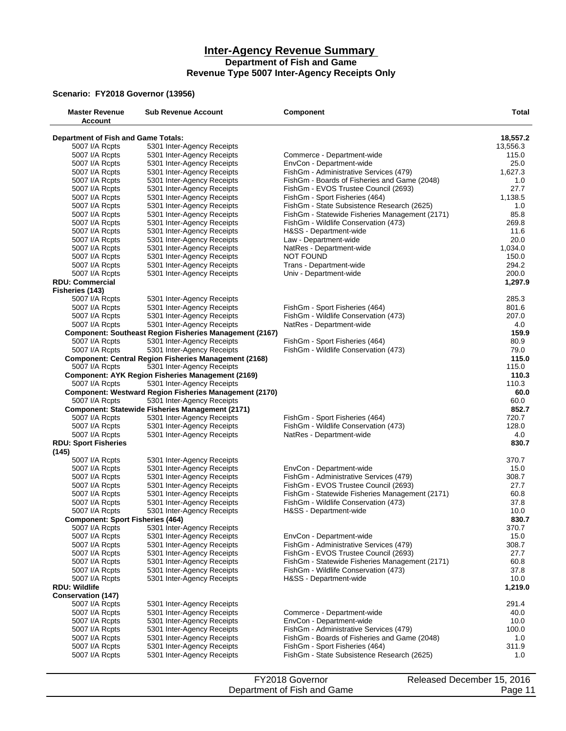#### **Inter-Agency Revenue Summary Department of Fish and Game Revenue Type 5007 Inter-Agency Receipts Only**

#### **Scenario: FY2018 Governor (13956)**

| <b>Master Revenue</b><br>Account          | <b>Sub Revenue Account</b>                                     | <b>Component</b>                               | <b>Total</b> |
|-------------------------------------------|----------------------------------------------------------------|------------------------------------------------|--------------|
| Department of Fish and Game Totals:       |                                                                |                                                | 18,557.2     |
| 5007 I/A Rcpts                            | 5301 Inter-Agency Receipts                                     |                                                | 13,556.3     |
| 5007 I/A Rcpts                            | 5301 Inter-Agency Receipts                                     | Commerce - Department-wide                     | 115.0        |
| 5007 I/A Rcpts                            | 5301 Inter-Agency Receipts                                     | EnvCon - Department-wide                       | 25.0         |
| 5007 I/A Rcpts                            | 5301 Inter-Agency Receipts                                     | FishGm - Administrative Services (479)         | 1,627.3      |
| 5007 I/A Rcpts                            | 5301 Inter-Agency Receipts                                     | FishGm - Boards of Fisheries and Game (2048)   | 1.0          |
| 5007 I/A Rcpts                            | 5301 Inter-Agency Receipts                                     | FishGm - EVOS Trustee Council (2693)           | 27.7         |
| 5007 I/A Rcpts                            | 5301 Inter-Agency Receipts                                     | FishGm - Sport Fisheries (464)                 | 1,138.5      |
| 5007 I/A Rcpts                            | 5301 Inter-Agency Receipts                                     | FishGm - State Subsistence Research (2625)     | 1.0          |
| 5007 I/A Rcpts                            | 5301 Inter-Agency Receipts                                     | FishGm - Statewide Fisheries Management (2171) | 85.8         |
| 5007 I/A Rcpts                            | 5301 Inter-Agency Receipts                                     | FishGm - Wildlife Conservation (473)           | 269.8        |
| 5007 I/A Rcpts                            | 5301 Inter-Agency Receipts                                     | H&SS - Department-wide                         | 11.6         |
| 5007 I/A Rcpts                            | 5301 Inter-Agency Receipts                                     | Law - Department-wide                          | 20.0         |
| 5007 I/A Rcpts                            | 5301 Inter-Agency Receipts                                     | NatRes - Department-wide                       | 1,034.0      |
|                                           |                                                                | <b>NOT FOUND</b>                               | 150.0        |
| 5007 I/A Rcpts                            | 5301 Inter-Agency Receipts                                     |                                                | 294.2        |
| 5007 I/A Rcpts                            | 5301 Inter-Agency Receipts                                     | Trans - Department-wide                        |              |
| 5007 I/A Rcpts                            | 5301 Inter-Agency Receipts                                     | Univ - Department-wide                         | 200.0        |
| <b>RDU: Commercial</b><br>Fisheries (143) |                                                                |                                                | 1,297.9      |
| 5007 I/A Rcpts                            | 5301 Inter-Agency Receipts                                     |                                                | 285.3        |
| 5007 I/A Rcpts                            | 5301 Inter-Agency Receipts                                     | FishGm - Sport Fisheries (464)                 | 801.6        |
| 5007 I/A Rcpts                            | 5301 Inter-Agency Receipts                                     | FishGm - Wildlife Conservation (473)           | 207.0        |
| 5007 I/A Rcpts                            | 5301 Inter-Agency Receipts                                     | NatRes - Department-wide                       | 4.0          |
|                                           | <b>Component: Southeast Region Fisheries Management (2167)</b> |                                                | 159.9        |
| 5007 I/A Rcpts                            | 5301 Inter-Agency Receipts                                     | FishGm - Sport Fisheries (464)                 | 80.9         |
| 5007 I/A Rcpts                            | 5301 Inter-Agency Receipts                                     | FishGm - Wildlife Conservation (473)           | 79.0         |
|                                           | <b>Component: Central Region Fisheries Management (2168)</b>   |                                                | 115.0        |
|                                           |                                                                |                                                | 115.0        |
| 5007 I/A Rcpts                            | 5301 Inter-Agency Receipts                                     |                                                |              |
|                                           | <b>Component: AYK Region Fisheries Management (2169)</b>       |                                                | 110.3        |
| 5007 I/A Rcpts                            | 5301 Inter-Agency Receipts                                     |                                                | 110.3        |
|                                           | <b>Component: Westward Region Fisheries Management (2170)</b>  |                                                | 60.0         |
| 5007 I/A Rcpts                            | 5301 Inter-Agency Receipts                                     |                                                | 60.0         |
|                                           | <b>Component: Statewide Fisheries Management (2171)</b>        |                                                | 852.7        |
| 5007 I/A Rcpts                            | 5301 Inter-Agency Receipts                                     | FishGm - Sport Fisheries (464)                 | 720.7        |
| 5007 I/A Rcpts                            | 5301 Inter-Agency Receipts                                     | FishGm - Wildlife Conservation (473)           | 128.0        |
| 5007 I/A Rcpts                            | 5301 Inter-Agency Receipts                                     | NatRes - Department-wide                       | 4.0          |
| <b>RDU: Sport Fisheries</b><br>(145)      |                                                                |                                                | 830.7        |
| 5007 I/A Rcpts                            | 5301 Inter-Agency Receipts                                     |                                                | 370.7        |
| 5007 I/A Rcpts                            | 5301 Inter-Agency Receipts                                     | EnvCon - Department-wide                       | 15.0         |
| 5007 I/A Rcpts                            | 5301 Inter-Agency Receipts                                     | FishGm - Administrative Services (479)         | 308.7        |
| 5007 I/A Rcpts                            | 5301 Inter-Agency Receipts                                     | FishGm - EVOS Trustee Council (2693)           | 27.7         |
| 5007 I/A Rcpts                            | 5301 Inter-Agency Receipts                                     | FishGm - Statewide Fisheries Management (2171) | 60.8         |
| 5007 I/A Rcpts                            | 5301 Inter-Agency Receipts                                     | FishGm - Wildlife Conservation (473)           | 37.8         |
| 5007 I/A Rcpts                            | 5301 Inter-Agency Receipts                                     | H&SS - Department-wide                         | 10.0         |
|                                           |                                                                |                                                | 830.7        |
| <b>Component: Sport Fisheries (464)</b>   |                                                                |                                                |              |
| 5007 I/A Rcpts                            | 5301 Inter-Agency Receipts                                     |                                                | 370.7        |
| 5007 I/A Rcpts                            | 5301 Inter-Agency Receipts                                     | EnvCon - Department-wide                       | 15.0         |
| 5007 I/A Rcpts                            | 5301 Inter-Agency Receipts                                     | FishGm - Administrative Services (479)         | 308.7        |
| 5007 I/A Rcpts                            | 5301 Inter-Agency Receipts                                     | FishGm - EVOS Trustee Council (2693)           | 27.7         |
| 5007 I/A Rcpts                            | 5301 Inter-Agency Receipts                                     | FishGm - Statewide Fisheries Management (2171) | 60.8         |
| 5007 I/A Rcpts                            | 5301 Inter-Agency Receipts                                     | FishGm - Wildlife Conservation (473)           | 37.8         |
| 5007 I/A Rcpts                            | 5301 Inter-Agency Receipts                                     | H&SS - Department-wide                         | 10.0         |
| <b>RDU: Wildlife</b>                      |                                                                |                                                | 1,219.0      |
| <b>Conservation (147)</b>                 |                                                                |                                                |              |
| 5007 I/A Rcpts                            | 5301 Inter-Agency Receipts                                     |                                                | 291.4        |
| 5007 I/A Rcpts                            | 5301 Inter-Agency Receipts                                     | Commerce - Department-wide                     | 40.0         |
| 5007 I/A Rcpts                            | 5301 Inter-Agency Receipts                                     | EnvCon - Department-wide                       | 10.0         |
| 5007 I/A Rcpts                            | 5301 Inter-Agency Receipts                                     | FishGm - Administrative Services (479)         | 100.0        |
| 5007 I/A Rcpts                            | 5301 Inter-Agency Receipts                                     | FishGm - Boards of Fisheries and Game (2048)   | 1.0          |
| 5007 I/A Rcpts                            | 5301 Inter-Agency Receipts                                     | FishGm - Sport Fisheries (464)                 | 311.9        |
| 5007 I/A Rcpts                            | 5301 Inter-Agency Receipts                                     | FishGm - State Subsistence Research (2625)     | 1.0          |

| FY2018 Governor             | Released December 15, 2016 |
|-----------------------------|----------------------------|
| Department of Fish and Game | Page 11                    |